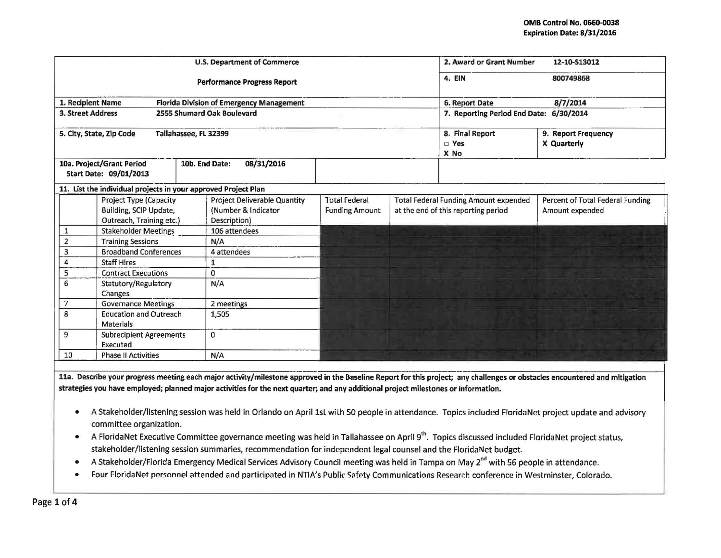|                                                 |                                                                | <b>U.S. Department of Commerce</b>       | 2. Award or Grant Number<br>12-10-S13012 |                                              |                                    |                                  |
|-------------------------------------------------|----------------------------------------------------------------|------------------------------------------|------------------------------------------|----------------------------------------------|------------------------------------|----------------------------------|
|                                                 |                                                                | <b>Performance Progress Report</b>       |                                          |                                              | 4. EIN                             | 800749868                        |
| 1. Recipient Name                               |                                                                | Florida Division of Emergency Management |                                          | 8/7/2014<br>6. Report Date                   |                                    |                                  |
| <b>3. Street Address</b>                        |                                                                | 2555 Shumard Oak Boulevard               | 7. Reporting Period End Date: 6/30/2014  |                                              |                                    |                                  |
|                                                 | 5. City, State, Zip Code<br>Tallahassee, FL 32399              |                                          |                                          | 8. Final Report<br>$\square$ Yes<br>X No     | 9. Report Frequency<br>X Quarterly |                                  |
|                                                 | 10a. Project/Grant Period<br>Start Date: 09/01/2013            | 10b. End Date:<br>08/31/2016             |                                          |                                              |                                    |                                  |
|                                                 | 11. List the individual projects in your approved Project Plan |                                          |                                          |                                              |                                    |                                  |
|                                                 | <b>Project Type (Capacity</b>                                  | <b>Project Deliverable Quantity</b>      | <b>Total Federal</b>                     | <b>Total Federal Funding Amount expended</b> |                                    | Percent of Total Federal Funding |
| Building, SCIP Update,                          |                                                                | (Number & Indicator                      | <b>Funding Amount</b>                    | at the end of this reporting period          |                                    | Amount expended                  |
| Outreach, Training etc.)                        |                                                                | Description)                             |                                          |                                              |                                    |                                  |
| <b>Stakeholder Meetings</b><br>1                |                                                                | 106 attendees                            |                                          |                                              |                                    |                                  |
| $\overline{2}$<br><b>Training Sessions</b>      |                                                                | N/A                                      |                                          |                                              |                                    |                                  |
| 3<br><b>Broadband Conferences</b>               |                                                                | 4 attendees                              |                                          |                                              |                                    |                                  |
| <b>Staff Hires</b>                              |                                                                | 1                                        |                                          |                                              |                                    |                                  |
| 5                                               | <b>Contract Executions</b>                                     | $\Omega$                                 |                                          |                                              |                                    |                                  |
| 6<br>Statutory/Regulatory<br>Changes            |                                                                | N/A                                      |                                          |                                              |                                    |                                  |
| 7<br><b>Governance Meetings</b>                 |                                                                | 2 meetings                               |                                          |                                              |                                    |                                  |
| 8<br><b>Education and Outreach</b><br>Materials |                                                                | 1,505                                    |                                          |                                              |                                    |                                  |
| 9                                               | <b>Subrecipient Agreements</b><br>Executed                     | 0                                        |                                          |                                              |                                    |                                  |
| 10<br><b>Phase II Activities</b>                |                                                                | N/A                                      |                                          |                                              |                                    |                                  |

11a. Describe your progress meeting each major activity/milestone approved in the Baseline Report for this project; any challenges or obstacles encountered and mitigation strategies you have employed; planned major activities for the next quarter; and any additional project milestones or information.

- A Stakeholder/listening session was held in Orlando on April 1st with SO people in attendance. Topics included Florida Net project update and advisory committee organization.
- A Florida Net Executive Committee governance meeting was held in Tallahassee on April 9<sup>th</sup>. Topics discussed included Florida Net project status, stakeholder/listening session summaries, recommendation for independent legal counsel and the FloridaNet budget.
- A Stakeholder/Florida Emergency Medical Services Advisory Council meeting was held in Tampa on May 2<sup>nd</sup> with 56 people in attendance.
- Four Florida Net personnel attended and participated in NTIA's Public Safety Communications Research conference in Westminster, Colorado.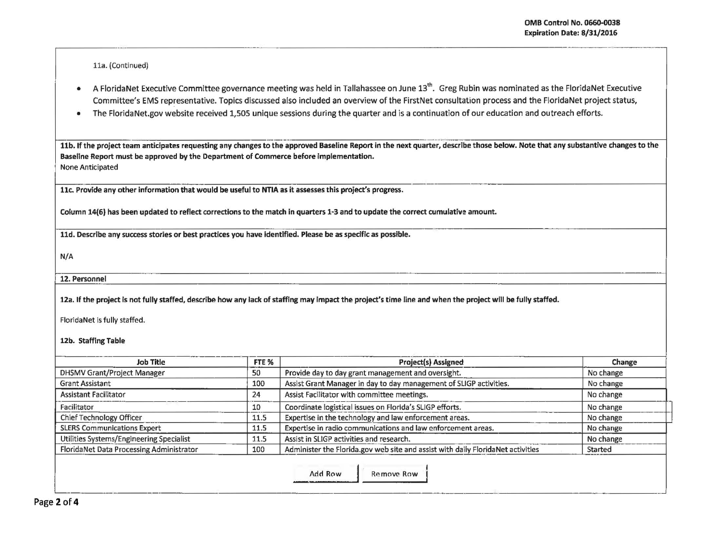$\vert$  $\vert$ 

11a. (Continued)

• A Florida Net Executive Committee governance meeting was held in Tallahassee on June 13<sup>th</sup>. Greg Rubin was nominated as the Florida Net Executive Committee's EMS representative. Topics discussed also included an overview of the FirstNet consultation process and the Florida Net project status,

---- - --~-- ·--

• The FloridaNet.gov website received 1,505 unique sessions during the quarter and is a continuation of our education and outreach efforts .

11b. If the project team anticipates requesting any changes to the approved Baseline Report in the next quarter, describe those below. Note that any substantive changes to the Baseline Report must be approved by the Department of Commerce before implementation. None Anticipated

11c. Provide any other information that would be useful to NTIA as it assesses this project's progress.

Column 14(6) has been updated to reflect corrections to the match in quarters 1-3 and to update the correct cumulative amount.

11d. Describe any success stories or best practices you have identified. Please be as specific as possible.

N/A

12. Personnel

12a. If the project is not fully staffed, describe how any lack of staffing may impact the project's time line and when the project will be fully staffed.

Florida Net is fully staffed.

12b. Staffing Table

| Job Title                                       | FTE % | <b>Project(s) Assigned</b>                                                      | Change    |
|-------------------------------------------------|-------|---------------------------------------------------------------------------------|-----------|
| <b>DHSMV Grant/Project Manager</b>              | 50    | Provide day to day grant management and oversight.                              | No change |
| <b>Grant Assistant</b>                          | 100   | Assist Grant Manager in day to day management of SLIGP activities.              | No change |
| <b>Assistant Facilitator</b>                    | 24    | Assist Facilitator with committee meetings.                                     | No change |
| Facilitator                                     | 10    | Coordinate logistical issues on Florida's SLIGP efforts.                        | No change |
| Chief Technology Officer                        | 11.5  | Expertise in the technology and law enforcement areas.                          | No change |
| <b>SLERS Communications Expert</b>              | 11.5  | Expertise in radio communications and law enforcement areas.                    | No change |
| Utilities Systems/Engineering Specialist        | 1.1.5 | Assist in SLIGP activities and research.                                        | No change |
| FloridaNet Data Processing Administrator<br>100 |       | Administer the Florida.gov web site and assist with daily FloridaNet activities | Started   |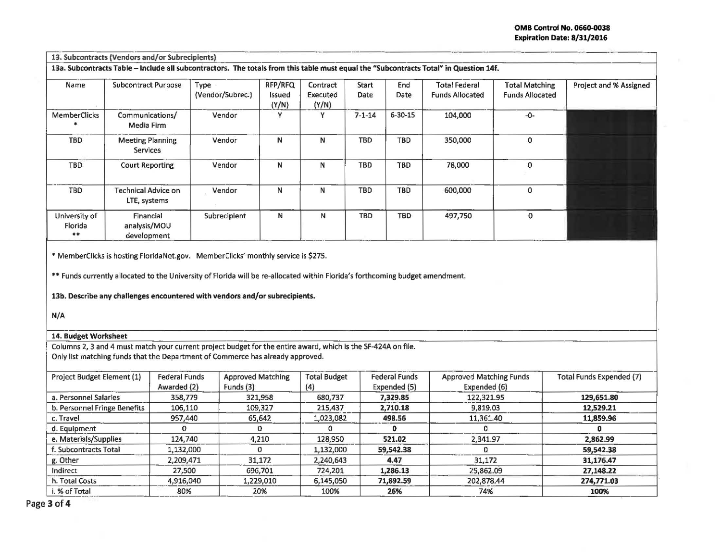13a. Subcontracts Table - Include all subcontractors. The totals from this table must equal the "Subcontracts Total" in Question 14f.

| Name                           | <b>Subcontract Purpose</b>               | Type .<br>(Vendor/Subrec.) | RFP/RFQ<br>Issued<br>(Y/N) | Contract<br>Executed<br>(Y/N) | Start<br>Date | End<br>Date   | <b>Total Federal</b><br><b>Funds Allocated</b> | <b>Total Matching</b><br><b>Funds Allocated</b> | Project and % Assigned |
|--------------------------------|------------------------------------------|----------------------------|----------------------------|-------------------------------|---------------|---------------|------------------------------------------------|-------------------------------------------------|------------------------|
| <b>MemberClicks</b>            | Communications/<br>Media Firm            | Vendor                     | ν                          |                               | $7 - 1 - 14$  | $6 - 30 - 15$ | 104,000                                        | $-0-$                                           |                        |
| <b>TBD</b>                     | <b>Meeting Planning</b><br>Services      | Vendor                     | Ν                          | N                             | <b>TBD</b>    | <b>TBD</b>    | 350,000                                        | 0                                               |                        |
| <b>TBD</b>                     | <b>Court Reporting</b>                   | Vendor                     | N                          | Ν                             | <b>TBD</b>    | <b>TBD</b>    | 78,000                                         | $\mathbf 0$                                     |                        |
| TBD                            | Technical Advice on<br>LTE, systems      | Vendor                     | N                          | N                             | <b>TBD</b>    | <b>TBD</b>    | 600,000                                        | $\Omega$                                        |                        |
| University of<br>Florida<br>** | Financial<br>analysis/MOU<br>development | Subrecipient               | N                          | N                             | TBD           | <b>TBD</b>    | 497,750                                        | 0                                               |                        |

• MemberCiicks is hosting FloridaNet.gov. Member Clicks' monthly service is \$275.

•• Funds currently allocated to the University of Florida will be re-allocated within Florida's forthcoming budget amendment.

13b. Describe any challenges encountered with vendors and/or subrecipients.

N/A

## 14. Budget Worksheet

Columns 2, 3 and 4 must match your current project budget for the entire award, which is the SF-424A on file. Only list matching funds that the Department of Commerce has already approved.

| Project Budget Element (1)   | <b>Federal Funds</b> | <b>Approved Matching</b> | <b>Total Budget</b> | <b>Federal Funds</b> | <b>Approved Matching Funds</b> | <b>Total Funds Expended (7)</b> |
|------------------------------|----------------------|--------------------------|---------------------|----------------------|--------------------------------|---------------------------------|
|                              | Awarded (2)          | Funds $(3)$              | (4)                 | Expended (5)         | Expended (6)                   |                                 |
| a. Personnel Salaries        | 358,779              | 321,958                  | 680,737             | 7,329.85             | 122,321.95                     | 129,651.80                      |
| b. Personnel Fringe Benefits | 106,110              | 109,327                  | 215,437             | 2,710.18             | 9,819.03                       | 12,529.21                       |
| c. Travel                    | 957,440              | 65,642                   | 1,023,082           | 498.56               | 11,361.40                      | 11,859.96                       |
| d. Equipment                 |                      |                          |                     |                      |                                |                                 |
| e. Materials/Supplies        | 124,740              | 4,210                    | 128,950             | 521.02               | 2,341.97                       | 2.862.99                        |
| f. Subcontracts Total        | 1,132,000            | 0                        | 1,132,000           | 59,542.38            |                                | 59,542.38                       |
| g. Other                     | 2,209,471            | 31.172                   | 2,240,643           | 4.47                 | 31,172                         | 31,176.47                       |
| Indirect                     | 27,500               | 696,701                  | 724,201             | 1,286.13             | 25,862.09                      | 27,148.22                       |
| h. Total Costs               | 4,916,040            | 1,229,010                | 6,145,050           | 71,892.59            | 202,878.44                     | 274,771.03                      |
| i. % of Total                | 80%                  | 20%                      | 100%                | 26%                  | 74%                            | 100%                            |

Page 3 of 4